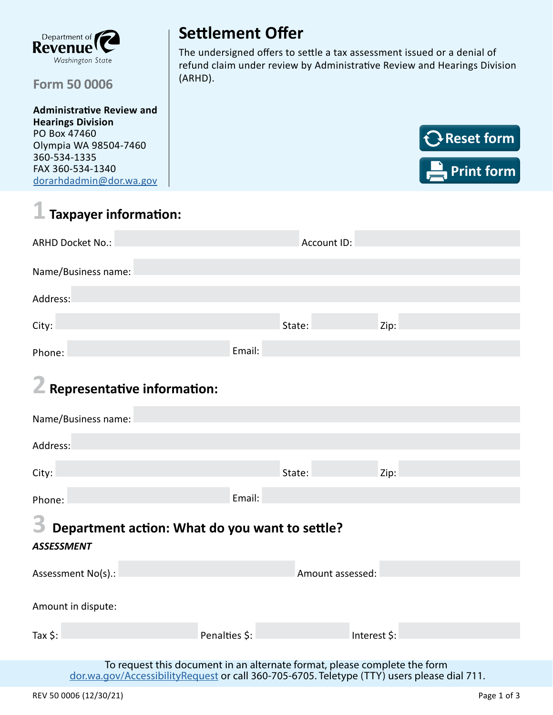

#### (ARHD). **Form 50 0006**

**Administrative Review and Hearings Division** PO Box 47460 Olympia WA 98504-7460 360-534-1335 FAX 360-534-1340 [dorarhdadmin@dor.wa.gov](mailto:dorarhdadmin%40dor.wa.gov?subject=)

# **Settlement Offer**

The undersigned offers to settle a tax assessment issued or a denial of refund claim under review by Administrative Review and Hearings Division



# **1 Taxpayer information:**

| <b>ARHD Docket No.:</b> | Account ID: |        |      |  |  |  |
|-------------------------|-------------|--------|------|--|--|--|
| Name/Business name:     |             |        |      |  |  |  |
| Address:                |             |        |      |  |  |  |
| City:                   |             | State: | Zip: |  |  |  |
| Phone:                  | Email:      |        |      |  |  |  |

### **2 Representative information:**

| Name/Business name:                                 |               |                  |              |  |  |  |  |
|-----------------------------------------------------|---------------|------------------|--------------|--|--|--|--|
| Address:                                            |               |                  |              |  |  |  |  |
| City:                                               |               | State:           | Zip:         |  |  |  |  |
| Phone:                                              | Email:        |                  |              |  |  |  |  |
| 3<br>Department action: What do you want to settle? |               |                  |              |  |  |  |  |
| <b>ASSESSMENT</b>                                   |               |                  |              |  |  |  |  |
| Assessment No(s).:                                  |               | Amount assessed: |              |  |  |  |  |
| Amount in dispute:                                  |               |                  |              |  |  |  |  |
| Tax $\frac{1}{2}$ :                                 | Penalties \$: |                  | Interest \$: |  |  |  |  |
|                                                     |               |                  |              |  |  |  |  |

To request this document in an alternate format, please complete the form [dor.wa.gov/AccessibilityRequest](http://dor.wa.gov/AccessibilityRequest) or call 360-705-6705. Teletype (TTY) users please dial 711.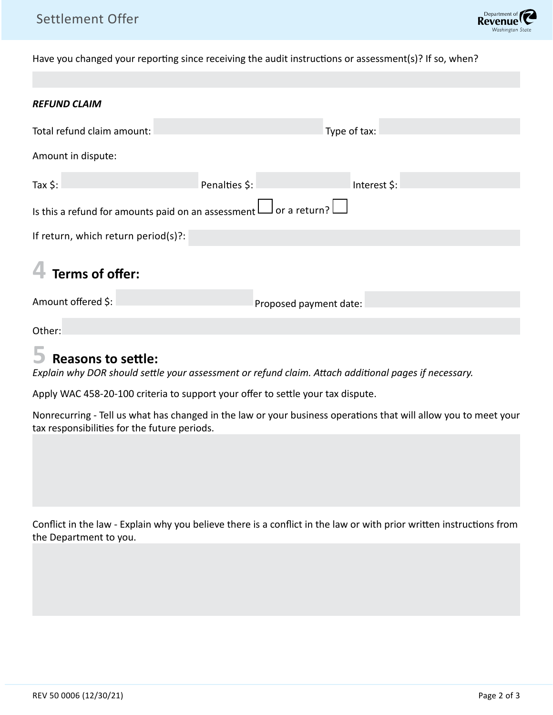Have you changed your reporting since receiving the audit instructions or assessment(s)? If so, when?

| <b>REFUND CLAIM</b>                                                    |                        |              |  |  |  |
|------------------------------------------------------------------------|------------------------|--------------|--|--|--|
| Total refund claim amount:                                             |                        | Type of tax: |  |  |  |
| Amount in dispute:                                                     |                        |              |  |  |  |
| Tax $\frac{1}{2}$ :                                                    | Penalties \$:          | Interest \$: |  |  |  |
| Is this a refund for amounts paid on an assessment $\Box$ or a return? |                        |              |  |  |  |
| If return, which return period(s)?:                                    |                        |              |  |  |  |
| Terms of offer:                                                        |                        |              |  |  |  |
| Amount offered \$:                                                     | Proposed payment date: |              |  |  |  |
| Other:<br><b>Contract Contract Contract</b>                            |                        |              |  |  |  |

#### **5 Reasons to settle:**

*Explain why DOR should settle your assessment or refund claim. Attach additional pages if necessary.* 

Apply WAC 458-20-100 criteria to support your offer to settle your tax dispute.

Nonrecurring - Tell us what has changed in the law or your business operations that will allow you to meet your tax responsibilities for the future periods.

Conflict in the law - Explain why you believe there is a conflict in the law or with prior written instructions from the Department to you.